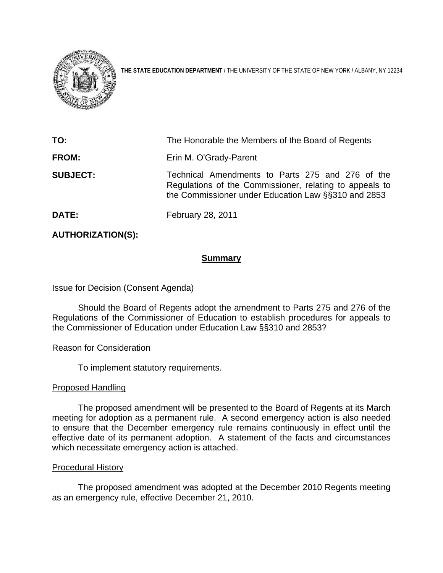

**THE STATE EDUCATION DEPARTMENT** / THE UNIVERSITY OF THE STATE OF NEW YORK / ALBANY, NY 12234

| TO:             | The Honorable the Members of the Board of Regents                                                                                                                  |
|-----------------|--------------------------------------------------------------------------------------------------------------------------------------------------------------------|
| <b>FROM:</b>    | Erin M. O'Grady-Parent                                                                                                                                             |
| <b>SUBJECT:</b> | Technical Amendments to Parts 275 and 276 of the<br>Regulations of the Commissioner, relating to appeals to<br>the Commissioner under Education Law §§310 and 2853 |
| <b>DATE:</b>    | February 28, 2011                                                                                                                                                  |

# **AUTHORIZATION(S):**

# **Summary**

## Issue for Decision (Consent Agenda)

 Should the Board of Regents adopt the amendment to Parts 275 and 276 of the Regulations of the Commissioner of Education to establish procedures for appeals to the Commissioner of Education under Education Law §§310 and 2853?

### Reason for Consideration

To implement statutory requirements.

### Proposed Handling

 The proposed amendment will be presented to the Board of Regents at its March meeting for adoption as a permanent rule. A second emergency action is also needed to ensure that the December emergency rule remains continuously in effect until the effective date of its permanent adoption. A statement of the facts and circumstances which necessitate emergency action is attached.

### Procedural History

 The proposed amendment was adopted at the December 2010 Regents meeting as an emergency rule, effective December 21, 2010.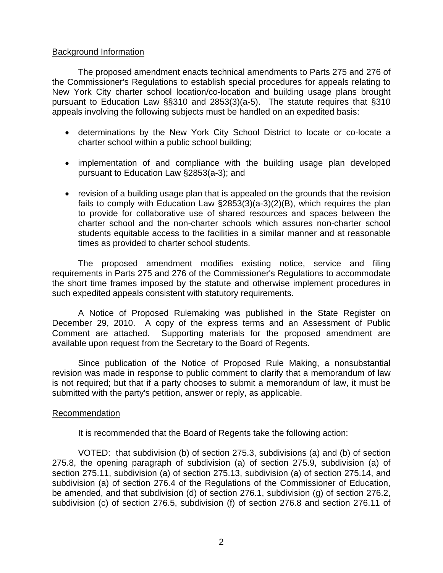## Background Information

The proposed amendment enacts technical amendments to Parts 275 and 276 of the Commissioner's Regulations to establish special procedures for appeals relating to New York City charter school location/co-location and building usage plans brought pursuant to Education Law §§310 and 2853(3)(a-5). The statute requires that §310 appeals involving the following subjects must be handled on an expedited basis:

- determinations by the New York City School District to locate or co-locate a charter school within a public school building;
- implementation of and compliance with the building usage plan developed pursuant to Education Law §2853(a-3); and
- revision of a building usage plan that is appealed on the grounds that the revision fails to comply with Education Law §2853(3)(a-3)(2)(B), which requires the plan to provide for collaborative use of shared resources and spaces between the charter school and the non-charter schools which assures non-charter school students equitable access to the facilities in a similar manner and at reasonable times as provided to charter school students.

 The proposed amendment modifies existing notice, service and filing requirements in Parts 275 and 276 of the Commissioner's Regulations to accommodate the short time frames imposed by the statute and otherwise implement procedures in such expedited appeals consistent with statutory requirements.

 A Notice of Proposed Rulemaking was published in the State Register on December 29, 2010. A copy of the express terms and an Assessment of Public Comment are attached. Supporting materials for the proposed amendment are available upon request from the Secretary to the Board of Regents.

 Since publication of the Notice of Proposed Rule Making, a nonsubstantial revision was made in response to public comment to clarify that a memorandum of law is not required; but that if a party chooses to submit a memorandum of law, it must be submitted with the party's petition, answer or reply, as applicable.

### Recommendation

It is recommended that the Board of Regents take the following action:

 VOTED: that subdivision (b) of section 275.3, subdivisions (a) and (b) of section 275.8, the opening paragraph of subdivision (a) of section 275.9, subdivision (a) of section 275.11, subdivision (a) of section 275.13, subdivision (a) of section 275.14, and subdivision (a) of section 276.4 of the Regulations of the Commissioner of Education, be amended, and that subdivision (d) of section 276.1, subdivision (g) of section 276.2, subdivision (c) of section 276.5, subdivision (f) of section 276.8 and section 276.11 of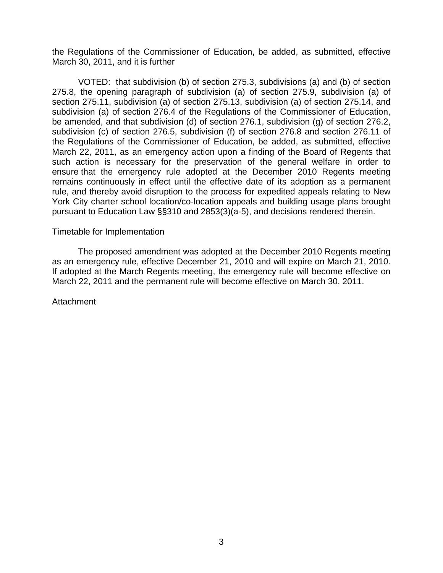the Regulations of the Commissioner of Education, be added, as submitted, effective March 30, 2011, and it is further

 VOTED: that subdivision (b) of section 275.3, subdivisions (a) and (b) of section 275.8, the opening paragraph of subdivision (a) of section 275.9, subdivision (a) of section 275.11, subdivision (a) of section 275.13, subdivision (a) of section 275.14, and subdivision (a) of section 276.4 of the Regulations of the Commissioner of Education, be amended, and that subdivision (d) of section 276.1, subdivision (g) of section 276.2, subdivision (c) of section 276.5, subdivision (f) of section 276.8 and section 276.11 of the Regulations of the Commissioner of Education, be added, as submitted, effective March 22, 2011, as an emergency action upon a finding of the Board of Regents that such action is necessary for the preservation of the general welfare in order to ensure that the emergency rule adopted at the December 2010 Regents meeting remains continuously in effect until the effective date of its adoption as a permanent rule, and thereby avoid disruption to the process for expedited appeals relating to New York City charter school location/co-location appeals and building usage plans brought pursuant to Education Law §§310 and 2853(3)(a-5), and decisions rendered therein.

### Timetable for Implementation

 The proposed amendment was adopted at the December 2010 Regents meeting as an emergency rule, effective December 21, 2010 and will expire on March 21, 2010. If adopted at the March Regents meeting, the emergency rule will become effective on March 22, 2011 and the permanent rule will become effective on March 30, 2011.

**Attachment**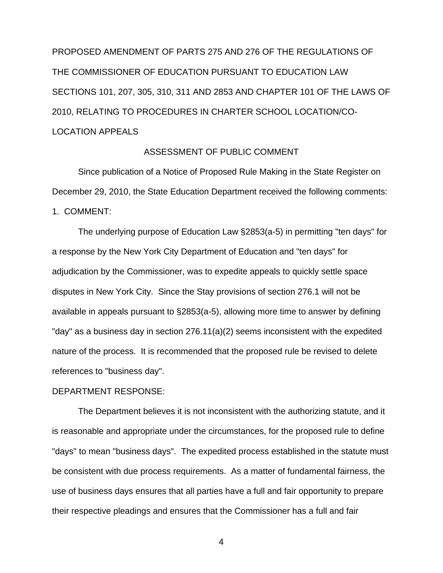PROPOSED AMENDMENT OF PARTS 275 AND 276 OF THE REGULATIONS OF THE COMMISSIONER OF EDUCATION PURSUANT TO EDUCATION LAW SECTIONS 101, 207, 305, 310, 311 AND 2853 AND CHAPTER 101 OF THE LAWS OF 2010, RELATING TO PROCEDURES IN CHARTER SCHOOL LOCATION/CO-LOCATION APPEALS

### ASSESSMENT OF PUBLIC COMMENT

 Since publication of a Notice of Proposed Rule Making in the State Register on December 29, 2010, the State Education Department received the following comments:

1. COMMENT:

 The underlying purpose of Education Law §2853(a-5) in permitting "ten days" for a response by the New York City Department of Education and "ten days" for adjudication by the Commissioner, was to expedite appeals to quickly settle space disputes in New York City. Since the Stay provisions of section 276.1 will not be available in appeals pursuant to §2853(a-5), allowing more time to answer by defining "day" as a business day in section 276.11(a)(2) seems inconsistent with the expedited nature of the process. It is recommended that the proposed rule be revised to delete references to "business day".

#### DEPARTMENT RESPONSE:

 The Department believes it is not inconsistent with the authorizing statute, and it is reasonable and appropriate under the circumstances, for the proposed rule to define "days" to mean "business days". The expedited process established in the statute must be consistent with due process requirements. As a matter of fundamental fairness, the use of business days ensures that all parties have a full and fair opportunity to prepare their respective pleadings and ensures that the Commissioner has a full and fair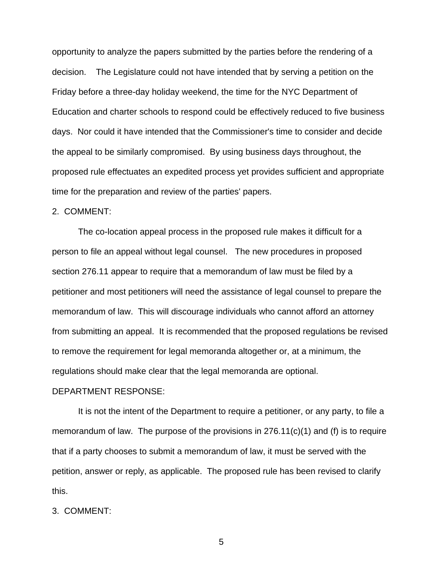opportunity to analyze the papers submitted by the parties before the rendering of a decision. The Legislature could not have intended that by serving a petition on the Friday before a three-day holiday weekend, the time for the NYC Department of Education and charter schools to respond could be effectively reduced to five business days. Nor could it have intended that the Commissioner's time to consider and decide the appeal to be similarly compromised. By using business days throughout, the proposed rule effectuates an expedited process yet provides sufficient and appropriate time for the preparation and review of the parties' papers.

#### 2. COMMENT:

 The co-location appeal process in the proposed rule makes it difficult for a person to file an appeal without legal counsel. The new procedures in proposed section 276.11 appear to require that a memorandum of law must be filed by a petitioner and most petitioners will need the assistance of legal counsel to prepare the memorandum of law. This will discourage individuals who cannot afford an attorney from submitting an appeal. It is recommended that the proposed regulations be revised to remove the requirement for legal memoranda altogether or, at a minimum, the regulations should make clear that the legal memoranda are optional.

#### DEPARTMENT RESPONSE:

 It is not the intent of the Department to require a petitioner, or any party, to file a memorandum of law. The purpose of the provisions in 276.11(c)(1) and (f) is to require that if a party chooses to submit a memorandum of law, it must be served with the petition, answer or reply, as applicable. The proposed rule has been revised to clarify this.

### 3. COMMENT: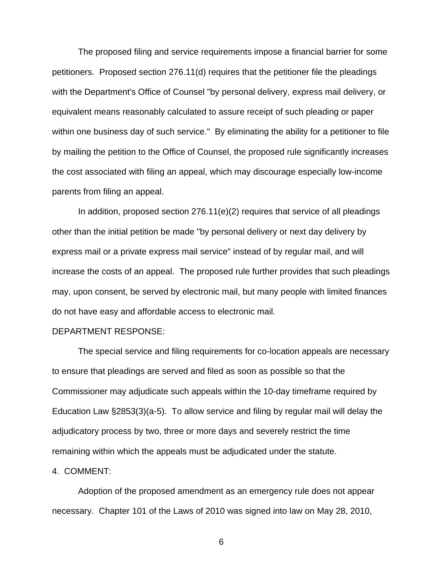The proposed filing and service requirements impose a financial barrier for some petitioners. Proposed section 276.11(d) requires that the petitioner file the pleadings with the Department's Office of Counsel "by personal delivery, express mail delivery, or equivalent means reasonably calculated to assure receipt of such pleading or paper within one business day of such service." By eliminating the ability for a petitioner to file by mailing the petition to the Office of Counsel, the proposed rule significantly increases the cost associated with filing an appeal, which may discourage especially low-income parents from filing an appeal.

In addition, proposed section  $276.11(e)(2)$  requires that service of all pleadings other than the initial petition be made "by personal delivery or next day delivery by express mail or a private express mail service" instead of by regular mail, and will increase the costs of an appeal. The proposed rule further provides that such pleadings may, upon consent, be served by electronic mail, but many people with limited finances do not have easy and affordable access to electronic mail.

### DEPARTMENT RESPONSE:

 The special service and filing requirements for co-location appeals are necessary to ensure that pleadings are served and filed as soon as possible so that the Commissioner may adjudicate such appeals within the 10-day timeframe required by Education Law §2853(3)(a-5). To allow service and filing by regular mail will delay the adjudicatory process by two, three or more days and severely restrict the time remaining within which the appeals must be adjudicated under the statute.

#### 4. COMMENT:

 Adoption of the proposed amendment as an emergency rule does not appear necessary. Chapter 101 of the Laws of 2010 was signed into law on May 28, 2010,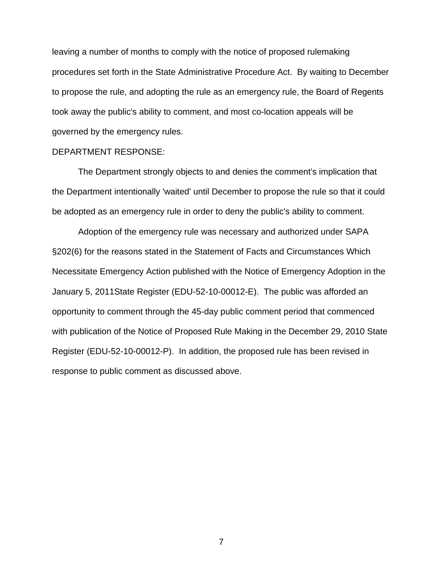leaving a number of months to comply with the notice of proposed rulemaking procedures set forth in the State Administrative Procedure Act. By waiting to December to propose the rule, and adopting the rule as an emergency rule, the Board of Regents took away the public's ability to comment, and most co-location appeals will be governed by the emergency rules.

#### DEPARTMENT RESPONSE:

 The Department strongly objects to and denies the comment's implication that the Department intentionally 'waited' until December to propose the rule so that it could be adopted as an emergency rule in order to deny the public's ability to comment.

 Adoption of the emergency rule was necessary and authorized under SAPA §202(6) for the reasons stated in the Statement of Facts and Circumstances Which Necessitate Emergency Action published with the Notice of Emergency Adoption in the January 5, 2011State Register (EDU-52-10-00012-E). The public was afforded an opportunity to comment through the 45-day public comment period that commenced with publication of the Notice of Proposed Rule Making in the December 29, 2010 State Register (EDU-52-10-00012-P). In addition, the proposed rule has been revised in response to public comment as discussed above.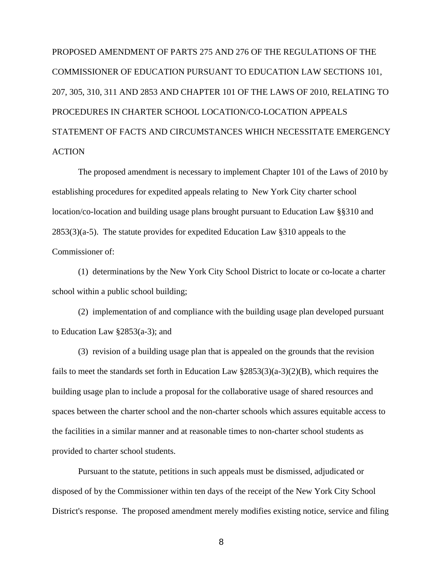PROPOSED AMENDMENT OF PARTS 275 AND 276 OF THE REGULATIONS OF THE COMMISSIONER OF EDUCATION PURSUANT TO EDUCATION LAW SECTIONS 101, 207, 305, 310, 311 AND 2853 AND CHAPTER 101 OF THE LAWS OF 2010, RELATING TO PROCEDURES IN CHARTER SCHOOL LOCATION/CO-LOCATION APPEALS STATEMENT OF FACTS AND CIRCUMSTANCES WHICH NECESSITATE EMERGENCY **ACTION** 

 The proposed amendment is necessary to implement Chapter 101 of the Laws of 2010 by establishing procedures for expedited appeals relating to New York City charter school location/co-location and building usage plans brought pursuant to Education Law §§310 and 2853(3)(a-5). The statute provides for expedited Education Law §310 appeals to the Commissioner of:

 (1) determinations by the New York City School District to locate or co-locate a charter school within a public school building;

 (2) implementation of and compliance with the building usage plan developed pursuant to Education Law §2853(a-3); and

 (3) revision of a building usage plan that is appealed on the grounds that the revision fails to meet the standards set forth in Education Law  $\S 2853(3)(a-3)(2)(B)$ , which requires the building usage plan to include a proposal for the collaborative usage of shared resources and spaces between the charter school and the non-charter schools which assures equitable access to the facilities in a similar manner and at reasonable times to non-charter school students as provided to charter school students.

 Pursuant to the statute, petitions in such appeals must be dismissed, adjudicated or disposed of by the Commissioner within ten days of the receipt of the New York City School District's response. The proposed amendment merely modifies existing notice, service and filing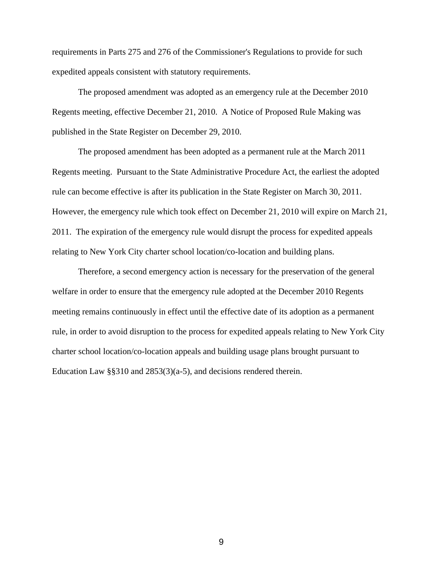requirements in Parts 275 and 276 of the Commissioner's Regulations to provide for such expedited appeals consistent with statutory requirements.

 The proposed amendment was adopted as an emergency rule at the December 2010 Regents meeting, effective December 21, 2010. A Notice of Proposed Rule Making was published in the State Register on December 29, 2010.

 The proposed amendment has been adopted as a permanent rule at the March 2011 Regents meeting. Pursuant to the State Administrative Procedure Act, the earliest the adopted rule can become effective is after its publication in the State Register on March 30, 2011. However, the emergency rule which took effect on December 21, 2010 will expire on March 21, 2011. The expiration of the emergency rule would disrupt the process for expedited appeals relating to New York City charter school location/co-location and building plans.

Therefore, a second emergency action is necessary for the preservation of the general welfare in order to ensure that the emergency rule adopted at the December 2010 Regents meeting remains continuously in effect until the effective date of its adoption as a permanent rule, in order to avoid disruption to the process for expedited appeals relating to New York City charter school location/co-location appeals and building usage plans brought pursuant to Education Law §§310 and 2853(3)(a-5), and decisions rendered therein.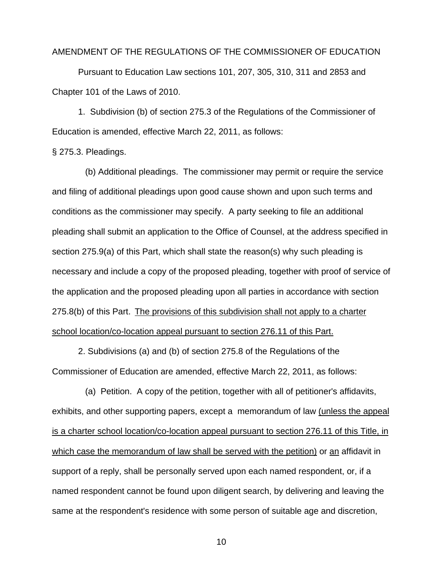#### AMENDMENT OF THE REGULATIONS OF THE COMMISSIONER OF EDUCATION

Pursuant to Education Law sections 101, 207, 305, 310, 311 and 2853 and Chapter 101 of the Laws of 2010.

 1. Subdivision (b) of section 275.3 of the Regulations of the Commissioner of Education is amended, effective March 22, 2011, as follows:

§ 275.3. Pleadings.

(b) Additional pleadings. The commissioner may permit or require the service and filing of additional pleadings upon good cause shown and upon such terms and conditions as the commissioner may specify. A party seeking to file an additional pleading shall submit an application to the Office of Counsel, at the address specified in section 275.9(a) of this Part, which shall state the reason(s) why such pleading is necessary and include a copy of the proposed pleading, together with proof of service of the application and the proposed pleading upon all parties in accordance with section 275.8(b) of this Part. The provisions of this subdivision shall not apply to a charter school location/co-location appeal pursuant to section 276.11 of this Part.

 2. Subdivisions (a) and (b) of section 275.8 of the Regulations of the Commissioner of Education are amended, effective March 22, 2011, as follows:

 (a) Petition. A copy of the petition, together with all of petitioner's affidavits, exhibits, and other supporting papers, except a memorandum of law (unless the appeal is a charter school location/co-location appeal pursuant to section 276.11 of this Title, in which case the memorandum of law shall be served with the petition) or an affidavit in support of a reply, shall be personally served upon each named respondent, or, if a named respondent cannot be found upon diligent search, by delivering and leaving the same at the respondent's residence with some person of suitable age and discretion,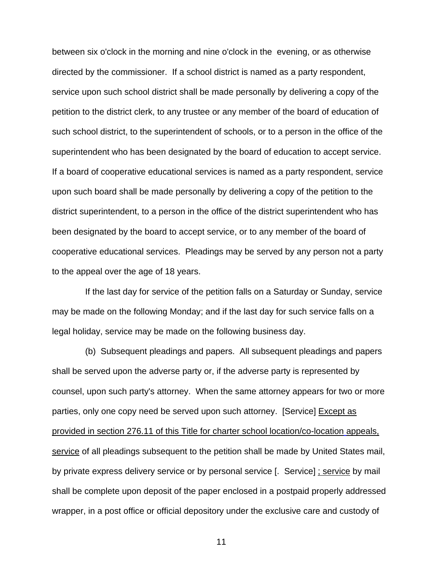between six o'clock in the morning and nine o'clock in the evening, or as otherwise directed by the commissioner. If a school district is named as a party respondent, service upon such school district shall be made personally by delivering a copy of the petition to the district clerk, to any trustee or any member of the board of education of such school district, to the superintendent of schools, or to a person in the office of the superintendent who has been designated by the board of education to accept service. If a board of cooperative educational services is named as a party respondent, service upon such board shall be made personally by delivering a copy of the petition to the district superintendent, to a person in the office of the district superintendent who has been designated by the board to accept service, or to any member of the board of cooperative educational services. Pleadings may be served by any person not a party to the appeal over the age of 18 years.

 If the last day for service of the petition falls on a Saturday or Sunday, service may be made on the following Monday; and if the last day for such service falls on a legal holiday, service may be made on the following business day.

 (b) Subsequent pleadings and papers. All subsequent pleadings and papers shall be served upon the adverse party or, if the adverse party is represented by counsel, upon such party's attorney. When the same attorney appears for two or more parties, only one copy need be served upon such attorney. [Service] Except as provided in section 276.11 of this Title for charter school location/co-location appeals, service of all pleadings subsequent to the petition shall be made by United States mail, by private express delivery service or by personal service [. Service] ; service by mail shall be complete upon deposit of the paper enclosed in a postpaid properly addressed wrapper, in a post office or official depository under the exclusive care and custody of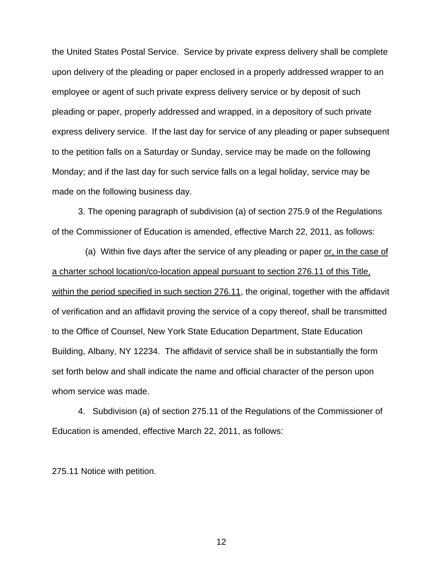the United States Postal Service. Service by private express delivery shall be complete upon delivery of the pleading or paper enclosed in a properly addressed wrapper to an employee or agent of such private express delivery service or by deposit of such pleading or paper, properly addressed and wrapped, in a depository of such private express delivery service. If the last day for service of any pleading or paper subsequent to the petition falls on a Saturday or Sunday, service may be made on the following Monday; and if the last day for such service falls on a legal holiday, service may be made on the following business day.

3. The opening paragraph of subdivision (a) of section 275.9 of the Regulations of the Commissioner of Education is amended, effective March 22, 2011, as follows:

 (a) Within five days after the service of any pleading or paper or, in the case of a charter school location/co-location appeal pursuant to section 276.11 of this Title, within the period specified in such section 276.11, the original, together with the affidavit of verification and an affidavit proving the service of a copy thereof, shall be transmitted to the Office of Counsel, New York State Education Department, State Education Building, Albany, NY 12234. The affidavit of service shall be in substantially the form set forth below and shall indicate the name and official character of the person upon whom service was made.

 4. Subdivision (a) of section 275.11 of the Regulations of the Commissioner of Education is amended, effective March 22, 2011, as follows:

275.11 Notice with petition.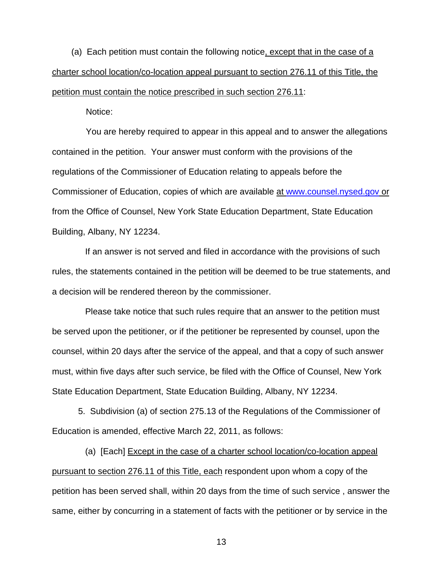(a) Each petition must contain the following notice, except that in the case of a charter school location/co-location appeal pursuant to section 276.11 of this Title, the petition must contain the notice prescribed in such section 276.11:

Notice:

 You are hereby required to appear in this appeal and to answer the allegations contained in the petition. Your answer must conform with the provisions of the regulations of the Commissioner of Education relating to appeals before the Commissioner of Education, copies of which are available at [www.counsel.nysed.gov](http://www.counsel.nysed.gov/) or from the Office of Counsel, New York State Education Department, State Education Building, Albany, NY 12234.

 If an answer is not served and filed in accordance with the provisions of such rules, the statements contained in the petition will be deemed to be true statements, and a decision will be rendered thereon by the commissioner.

 Please take notice that such rules require that an answer to the petition must be served upon the petitioner, or if the petitioner be represented by counsel, upon the counsel, within 20 days after the service of the appeal, and that a copy of such answer must, within five days after such service, be filed with the Office of Counsel, New York State Education Department, State Education Building, Albany, NY 12234.

5. Subdivision (a) of section 275.13 of the Regulations of the Commissioner of Education is amended, effective March 22, 2011, as follows:

(a) [Each] Except in the case of a charter school location/co-location appeal pursuant to section 276.11 of this Title, each respondent upon whom a copy of the petition has been served shall, within 20 days from the time of such service , answer the same, either by concurring in a statement of facts with the petitioner or by service in the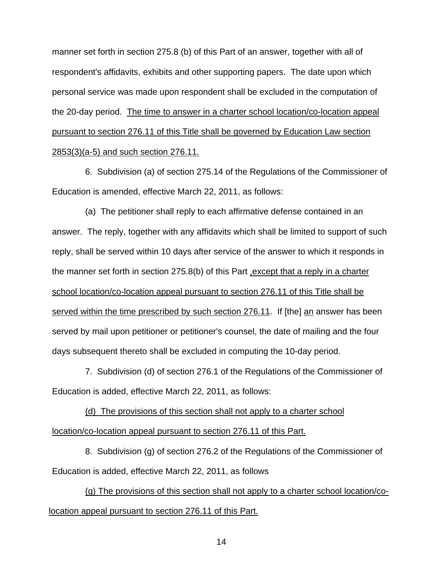manner set forth in section 275.8 (b) of this Part of an answer, together with all of respondent's affidavits, exhibits and other supporting papers. The date upon which personal service was made upon respondent shall be excluded in the computation of the 20-day period. The time to answer in a charter school location/co-location appeal pursuant to section 276.11 of this Title shall be governed by Education Law section 2853(3)(a-5) and such section 276.11.

 6. Subdivision (a) of section 275.14 of the Regulations of the Commissioner of Education is amended, effective March 22, 2011, as follows:

(a) The petitioner shall reply to each affirmative defense contained in an answer. The reply, together with any affidavits which shall be limited to support of such reply, shall be served within 10 days after service of the answer to which it responds in the manner set forth in section 275.8(b) of this Part ,except that a reply in a charter school location/co-location appeal pursuant to section 276.11 of this Title shall be served within the time prescribed by such section 276.11. If [the] an answer has been served by mail upon petitioner or petitioner's counsel, the date of mailing and the four days subsequent thereto shall be excluded in computing the 10-day period.

 7. Subdivision (d) of section 276.1 of the Regulations of the Commissioner of Education is added, effective March 22, 2011, as follows:

(d) The provisions of this section shall not apply to a charter school location/co-location appeal pursuant to section 276.11 of this Part.

 8. Subdivision (g) of section 276.2 of the Regulations of the Commissioner of Education is added, effective March 22, 2011, as follows

(g) The provisions of this section shall not apply to a charter school location/colocation appeal pursuant to section 276.11 of this Part.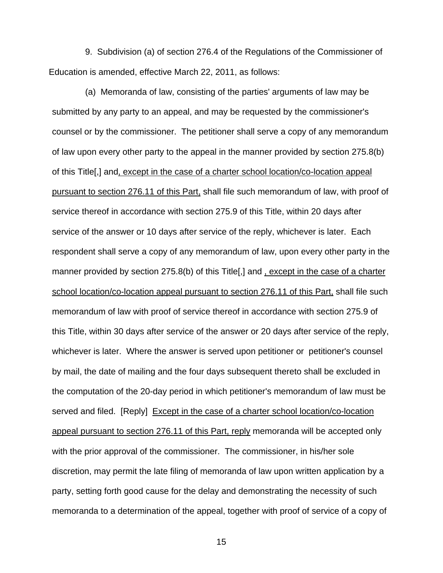9. Subdivision (a) of section 276.4 of the Regulations of the Commissioner of Education is amended, effective March 22, 2011, as follows:

 (a) Memoranda of law, consisting of the parties' arguments of law may be submitted by any party to an appeal, and may be requested by the commissioner's counsel or by the commissioner. The petitioner shall serve a copy of any memorandum of law upon every other party to the appeal in the manner provided by section 275.8(b) of this Title[,] and, except in the case of a charter school location/co-location appeal pursuant to section 276.11 of this Part, shall file such memorandum of law, with proof of service thereof in accordance with section 275.9 of this Title, within 20 days after service of the answer or 10 days after service of the reply, whichever is later. Each respondent shall serve a copy of any memorandum of law, upon every other party in the manner provided by section 275.8(b) of this Title[,] and, except in the case of a charter school location/co-location appeal pursuant to section 276.11 of this Part, shall file such memorandum of law with proof of service thereof in accordance with section 275.9 of this Title, within 30 days after service of the answer or 20 days after service of the reply, whichever is later. Where the answer is served upon petitioner or petitioner's counsel by mail, the date of mailing and the four days subsequent thereto shall be excluded in the computation of the 20-day period in which petitioner's memorandum of law must be served and filed. [Reply] Except in the case of a charter school location/co-location appeal pursuant to section 276.11 of this Part, reply memoranda will be accepted only with the prior approval of the commissioner. The commissioner, in his/her sole discretion, may permit the late filing of memoranda of law upon written application by a party, setting forth good cause for the delay and demonstrating the necessity of such memoranda to a determination of the appeal, together with proof of service of a copy of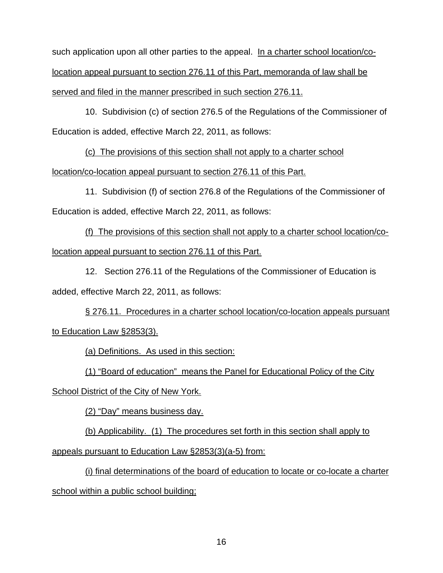such application upon all other parties to the appeal. In a charter school location/colocation appeal pursuant to section 276.11 of this Part, memoranda of law shall be served and filed in the manner prescribed in such section 276.11.

 10. Subdivision (c) of section 276.5 of the Regulations of the Commissioner of Education is added, effective March 22, 2011, as follows:

(c) The provisions of this section shall not apply to a charter school

location/co-location appeal pursuant to section 276.11 of this Part.

 11. Subdivision (f) of section 276.8 of the Regulations of the Commissioner of Education is added, effective March 22, 2011, as follows:

(f) The provisions of this section shall not apply to a charter school location/colocation appeal pursuant to section 276.11 of this Part.

 12. Section 276.11 of the Regulations of the Commissioner of Education is added, effective March 22, 2011, as follows:

§ 276.11. Procedures in a charter school location/co-location appeals pursuant to Education Law §2853(3).

(a) Definitions. As used in this section:

(1) "Board of education" means the Panel for Educational Policy of the City

School District of the City of New York.

(2) "Day" means business day.

(b) Applicability. (1) The procedures set forth in this section shall apply to

appeals pursuant to Education Law §2853(3)(a-5) from:

(i) final determinations of the board of education to locate or co-locate a charter school within a public school building;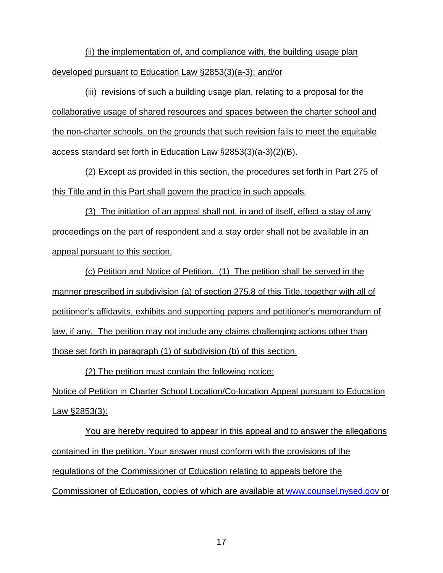(ii) the implementation of, and compliance with, the building usage plan developed pursuant to Education Law §2853(3)(a-3); and/or

(iii) revisions of such a building usage plan, relating to a proposal for the collaborative usage of shared resources and spaces between the charter school and the non-charter schools, on the grounds that such revision fails to meet the equitable access standard set forth in Education Law §2853(3)(a-3)(2)(B).

(2) Except as provided in this section, the procedures set forth in Part 275 of this Title and in this Part shall govern the practice in such appeals.

(3) The initiation of an appeal shall not, in and of itself, effect a stay of any proceedings on the part of respondent and a stay order shall not be available in an appeal pursuant to this section.

(c) Petition and Notice of Petition. (1) The petition shall be served in the manner prescribed in subdivision (a) of section 275.8 of this Title, together with all of petitioner's affidavits, exhibits and supporting papers and petitioner's memorandum of law, if any. The petition may not include any claims challenging actions other than those set forth in paragraph (1) of subdivision (b) of this section.

(2) The petition must contain the following notice: Notice of Petition in Charter School Location/Co-location Appeal pursuant to Education Law §2853(3):

You are hereby required to appear in this appeal and to answer the allegations contained in the petition. Your answer must conform with the provisions of the regulations of the Commissioner of Education relating to appeals before the Commissioner of Education, copies of which are available at [www.counsel.nysed.gov](http://www.counsel.nysed.gov/) or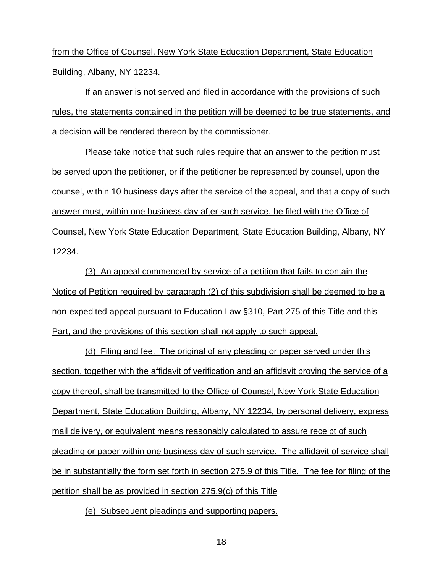from the Office of Counsel, New York State Education Department, State Education Building, Albany, NY 12234.

If an answer is not served and filed in accordance with the provisions of such rules, the statements contained in the petition will be deemed to be true statements, and a decision will be rendered thereon by the commissioner.

Please take notice that such rules require that an answer to the petition must be served upon the petitioner, or if the petitioner be represented by counsel, upon the counsel, within 10 business days after the service of the appeal, and that a copy of such answer must, within one business day after such service, be filed with the Office of Counsel, New York State Education Department, State Education Building, Albany, NY 12234.

(3) An appeal commenced by service of a petition that fails to contain the Notice of Petition required by paragraph (2) of this subdivision shall be deemed to be a non-expedited appeal pursuant to Education Law §310, Part 275 of this Title and this Part, and the provisions of this section shall not apply to such appeal.

(d) Filing and fee. The original of any pleading or paper served under this section, together with the affidavit of verification and an affidavit proving the service of a copy thereof, shall be transmitted to the Office of Counsel, New York State Education Department, State Education Building, Albany, NY 12234, by personal delivery, express mail delivery, or equivalent means reasonably calculated to assure receipt of such pleading or paper within one business day of such service. The affidavit of service shall be in substantially the form set forth in section 275.9 of this Title. The fee for filing of the petition shall be as provided in section 275.9(c) of this Title

(e) Subsequent pleadings and supporting papers.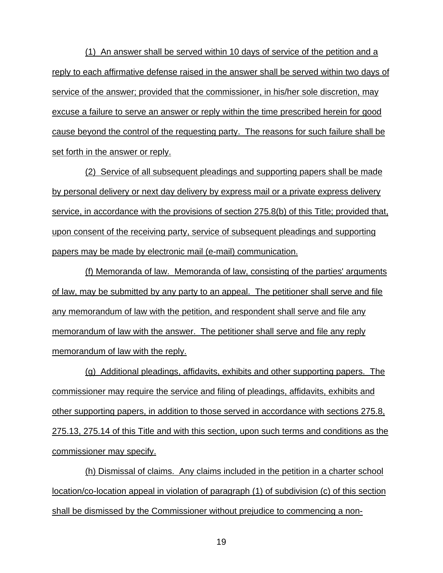(1) An answer shall be served within 10 days of service of the petition and a reply to each affirmative defense raised in the answer shall be served within two days of service of the answer; provided that the commissioner, in his/her sole discretion, may excuse a failure to serve an answer or reply within the time prescribed herein for good cause beyond the control of the requesting party. The reasons for such failure shall be set forth in the answer or reply.

(2) Service of all subsequent pleadings and supporting papers shall be made by personal delivery or next day delivery by express mail or a private express delivery service, in accordance with the provisions of section 275.8(b) of this Title; provided that, upon consent of the receiving party, service of subsequent pleadings and supporting papers may be made by electronic mail (e-mail) communication.

(f) Memoranda of law. Memoranda of law, consisting of the parties' arguments of law, may be submitted by any party to an appeal. The petitioner shall serve and file any memorandum of law with the petition, and respondent shall serve and file any memorandum of law with the answer. The petitioner shall serve and file any reply memorandum of law with the reply.

(g) Additional pleadings, affidavits, exhibits and other supporting papers. The commissioner may require the service and filing of pleadings, affidavits, exhibits and other supporting papers, in addition to those served in accordance with sections 275.8, 275.13, 275.14 of this Title and with this section, upon such terms and conditions as the commissioner may specify.

(h) Dismissal of claims. Any claims included in the petition in a charter school location/co-location appeal in violation of paragraph (1) of subdivision (c) of this section shall be dismissed by the Commissioner without prejudice to commencing a non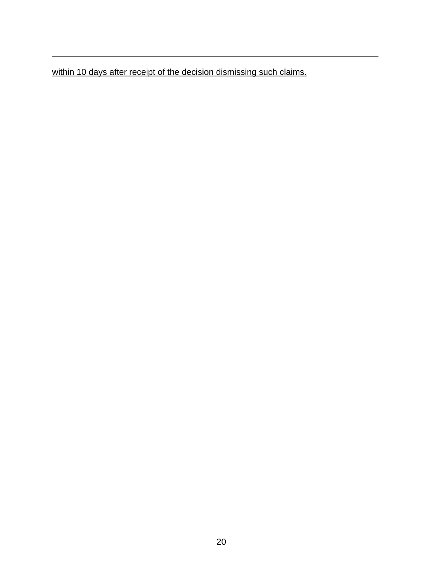within 10 days after receipt of the decision dismissing such claims.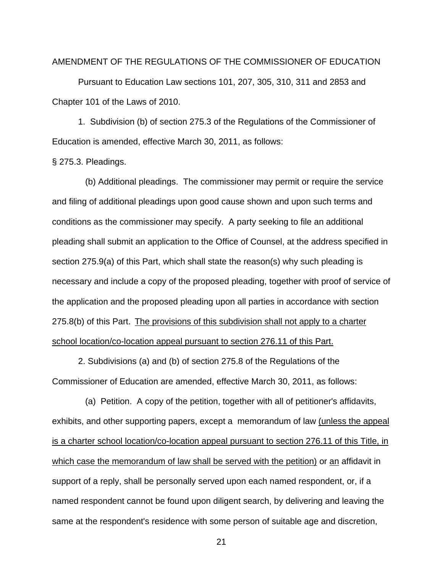#### AMENDMENT OF THE REGULATIONS OF THE COMMISSIONER OF EDUCATION

Pursuant to Education Law sections 101, 207, 305, 310, 311 and 2853 and Chapter 101 of the Laws of 2010.

 1. Subdivision (b) of section 275.3 of the Regulations of the Commissioner of Education is amended, effective March 30, 2011, as follows:

§ 275.3. Pleadings.

(b) Additional pleadings. The commissioner may permit or require the service and filing of additional pleadings upon good cause shown and upon such terms and conditions as the commissioner may specify. A party seeking to file an additional pleading shall submit an application to the Office of Counsel, at the address specified in section 275.9(a) of this Part, which shall state the reason(s) why such pleading is necessary and include a copy of the proposed pleading, together with proof of service of the application and the proposed pleading upon all parties in accordance with section 275.8(b) of this Part. The provisions of this subdivision shall not apply to a charter school location/co-location appeal pursuant to section 276.11 of this Part.

 2. Subdivisions (a) and (b) of section 275.8 of the Regulations of the Commissioner of Education are amended, effective March 30, 2011, as follows:

 (a) Petition. A copy of the petition, together with all of petitioner's affidavits, exhibits, and other supporting papers, except a memorandum of law (unless the appeal is a charter school location/co-location appeal pursuant to section 276.11 of this Title, in which case the memorandum of law shall be served with the petition) or an affidavit in support of a reply, shall be personally served upon each named respondent, or, if a named respondent cannot be found upon diligent search, by delivering and leaving the same at the respondent's residence with some person of suitable age and discretion,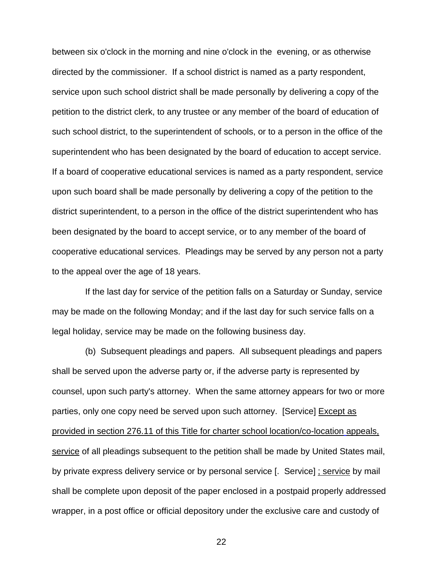between six o'clock in the morning and nine o'clock in the evening, or as otherwise directed by the commissioner. If a school district is named as a party respondent, service upon such school district shall be made personally by delivering a copy of the petition to the district clerk, to any trustee or any member of the board of education of such school district, to the superintendent of schools, or to a person in the office of the superintendent who has been designated by the board of education to accept service. If a board of cooperative educational services is named as a party respondent, service upon such board shall be made personally by delivering a copy of the petition to the district superintendent, to a person in the office of the district superintendent who has been designated by the board to accept service, or to any member of the board of cooperative educational services. Pleadings may be served by any person not a party to the appeal over the age of 18 years.

 If the last day for service of the petition falls on a Saturday or Sunday, service may be made on the following Monday; and if the last day for such service falls on a legal holiday, service may be made on the following business day.

 (b) Subsequent pleadings and papers. All subsequent pleadings and papers shall be served upon the adverse party or, if the adverse party is represented by counsel, upon such party's attorney. When the same attorney appears for two or more parties, only one copy need be served upon such attorney. [Service] Except as provided in section 276.11 of this Title for charter school location/co-location appeals, service of all pleadings subsequent to the petition shall be made by United States mail, by private express delivery service or by personal service [. Service] ; service by mail shall be complete upon deposit of the paper enclosed in a postpaid properly addressed wrapper, in a post office or official depository under the exclusive care and custody of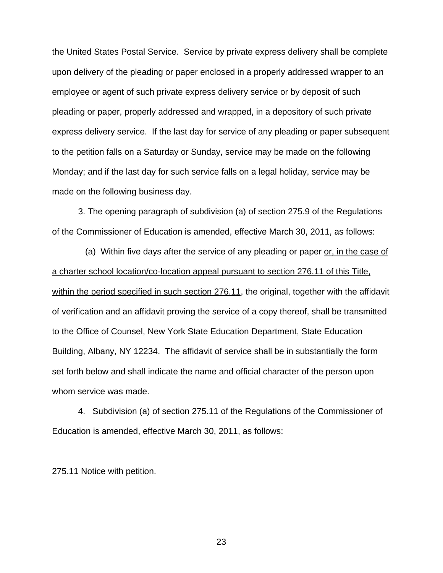the United States Postal Service. Service by private express delivery shall be complete upon delivery of the pleading or paper enclosed in a properly addressed wrapper to an employee or agent of such private express delivery service or by deposit of such pleading or paper, properly addressed and wrapped, in a depository of such private express delivery service. If the last day for service of any pleading or paper subsequent to the petition falls on a Saturday or Sunday, service may be made on the following Monday; and if the last day for such service falls on a legal holiday, service may be made on the following business day.

3. The opening paragraph of subdivision (a) of section 275.9 of the Regulations of the Commissioner of Education is amended, effective March 30, 2011, as follows:

 (a) Within five days after the service of any pleading or paper or, in the case of a charter school location/co-location appeal pursuant to section 276.11 of this Title, within the period specified in such section 276.11, the original, together with the affidavit of verification and an affidavit proving the service of a copy thereof, shall be transmitted to the Office of Counsel, New York State Education Department, State Education Building, Albany, NY 12234. The affidavit of service shall be in substantially the form set forth below and shall indicate the name and official character of the person upon whom service was made.

 4. Subdivision (a) of section 275.11 of the Regulations of the Commissioner of Education is amended, effective March 30, 2011, as follows:

275.11 Notice with petition.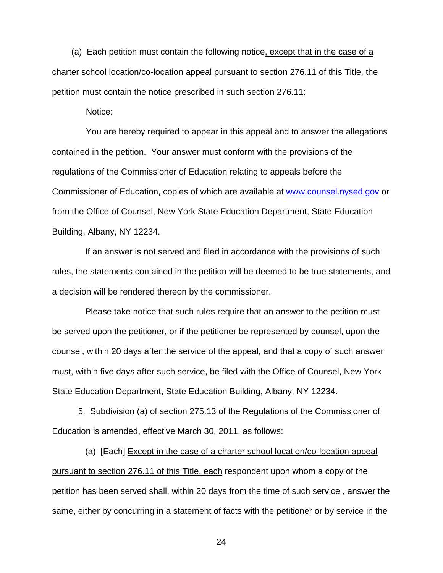(a) Each petition must contain the following notice, except that in the case of a charter school location/co-location appeal pursuant to section 276.11 of this Title, the petition must contain the notice prescribed in such section 276.11:

Notice:

 You are hereby required to appear in this appeal and to answer the allegations contained in the petition. Your answer must conform with the provisions of the regulations of the Commissioner of Education relating to appeals before the Commissioner of Education, copies of which are available at [www.counsel.nysed.gov](http://www.counsel.nysed.gov/) or from the Office of Counsel, New York State Education Department, State Education Building, Albany, NY 12234.

 If an answer is not served and filed in accordance with the provisions of such rules, the statements contained in the petition will be deemed to be true statements, and a decision will be rendered thereon by the commissioner.

 Please take notice that such rules require that an answer to the petition must be served upon the petitioner, or if the petitioner be represented by counsel, upon the counsel, within 20 days after the service of the appeal, and that a copy of such answer must, within five days after such service, be filed with the Office of Counsel, New York State Education Department, State Education Building, Albany, NY 12234.

5. Subdivision (a) of section 275.13 of the Regulations of the Commissioner of Education is amended, effective March 30, 2011, as follows:

(a) [Each] Except in the case of a charter school location/co-location appeal pursuant to section 276.11 of this Title, each respondent upon whom a copy of the petition has been served shall, within 20 days from the time of such service , answer the same, either by concurring in a statement of facts with the petitioner or by service in the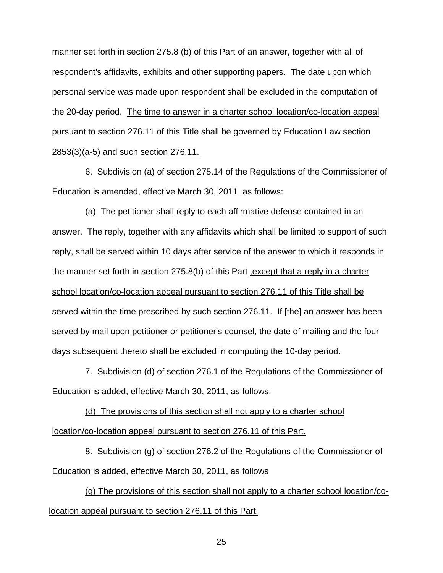manner set forth in section 275.8 (b) of this Part of an answer, together with all of respondent's affidavits, exhibits and other supporting papers. The date upon which personal service was made upon respondent shall be excluded in the computation of the 20-day period. The time to answer in a charter school location/co-location appeal pursuant to section 276.11 of this Title shall be governed by Education Law section 2853(3)(a-5) and such section 276.11.

 6. Subdivision (a) of section 275.14 of the Regulations of the Commissioner of Education is amended, effective March 30, 2011, as follows:

(a) The petitioner shall reply to each affirmative defense contained in an answer. The reply, together with any affidavits which shall be limited to support of such reply, shall be served within 10 days after service of the answer to which it responds in the manner set forth in section 275.8(b) of this Part ,except that a reply in a charter school location/co-location appeal pursuant to section 276.11 of this Title shall be served within the time prescribed by such section 276.11. If [the] an answer has been served by mail upon petitioner or petitioner's counsel, the date of mailing and the four days subsequent thereto shall be excluded in computing the 10-day period.

 7. Subdivision (d) of section 276.1 of the Regulations of the Commissioner of Education is added, effective March 30, 2011, as follows:

(d) The provisions of this section shall not apply to a charter school location/co-location appeal pursuant to section 276.11 of this Part.

 8. Subdivision (g) of section 276.2 of the Regulations of the Commissioner of Education is added, effective March 30, 2011, as follows

(g) The provisions of this section shall not apply to a charter school location/colocation appeal pursuant to section 276.11 of this Part.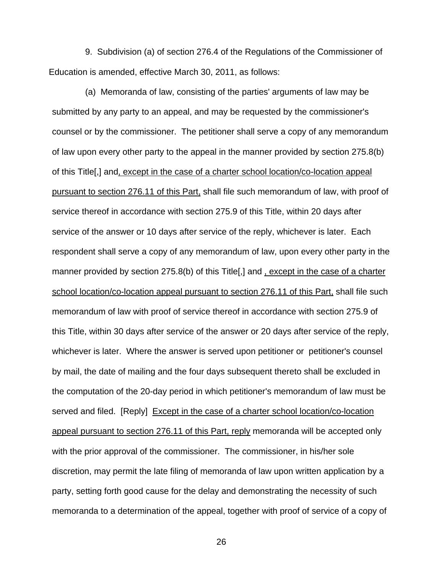9. Subdivision (a) of section 276.4 of the Regulations of the Commissioner of Education is amended, effective March 30, 2011, as follows:

 (a) Memoranda of law, consisting of the parties' arguments of law may be submitted by any party to an appeal, and may be requested by the commissioner's counsel or by the commissioner. The petitioner shall serve a copy of any memorandum of law upon every other party to the appeal in the manner provided by section 275.8(b) of this Title[,] and, except in the case of a charter school location/co-location appeal pursuant to section 276.11 of this Part, shall file such memorandum of law, with proof of service thereof in accordance with section 275.9 of this Title, within 20 days after service of the answer or 10 days after service of the reply, whichever is later. Each respondent shall serve a copy of any memorandum of law, upon every other party in the manner provided by section 275.8(b) of this Title[,] and, except in the case of a charter school location/co-location appeal pursuant to section 276.11 of this Part, shall file such memorandum of law with proof of service thereof in accordance with section 275.9 of this Title, within 30 days after service of the answer or 20 days after service of the reply, whichever is later. Where the answer is served upon petitioner or petitioner's counsel by mail, the date of mailing and the four days subsequent thereto shall be excluded in the computation of the 20-day period in which petitioner's memorandum of law must be served and filed. [Reply] Except in the case of a charter school location/co-location appeal pursuant to section 276.11 of this Part, reply memoranda will be accepted only with the prior approval of the commissioner. The commissioner, in his/her sole discretion, may permit the late filing of memoranda of law upon written application by a party, setting forth good cause for the delay and demonstrating the necessity of such memoranda to a determination of the appeal, together with proof of service of a copy of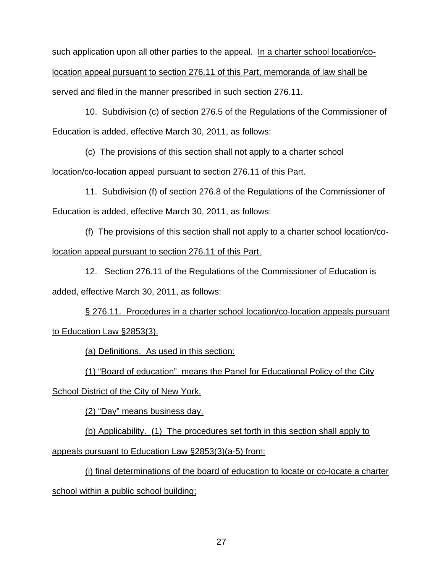such application upon all other parties to the appeal. In a charter school location/colocation appeal pursuant to section 276.11 of this Part, memoranda of law shall be served and filed in the manner prescribed in such section 276.11.

 10. Subdivision (c) of section 276.5 of the Regulations of the Commissioner of Education is added, effective March 30, 2011, as follows:

(c) The provisions of this section shall not apply to a charter school

location/co-location appeal pursuant to section 276.11 of this Part.

 11. Subdivision (f) of section 276.8 of the Regulations of the Commissioner of Education is added, effective March 30, 2011, as follows:

(f) The provisions of this section shall not apply to a charter school location/colocation appeal pursuant to section 276.11 of this Part.

 12. Section 276.11 of the Regulations of the Commissioner of Education is added, effective March 30, 2011, as follows:

§ 276.11. Procedures in a charter school location/co-location appeals pursuant to Education Law §2853(3).

(a) Definitions. As used in this section:

(1) "Board of education" means the Panel for Educational Policy of the City

School District of the City of New York.

(2) "Day" means business day.

(b) Applicability. (1) The procedures set forth in this section shall apply to

appeals pursuant to Education Law §2853(3)(a-5) from:

(i) final determinations of the board of education to locate or co-locate a charter school within a public school building;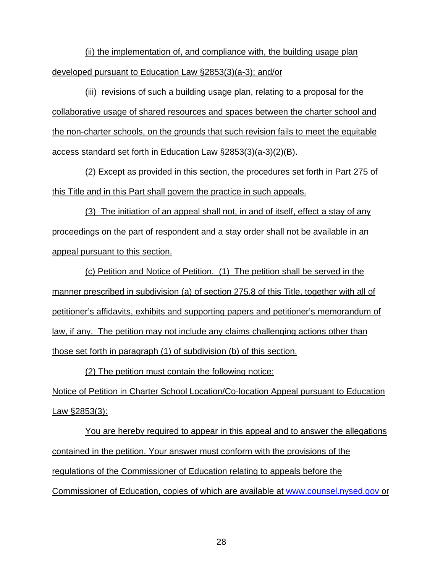(ii) the implementation of, and compliance with, the building usage plan developed pursuant to Education Law §2853(3)(a-3); and/or

(iii) revisions of such a building usage plan, relating to a proposal for the collaborative usage of shared resources and spaces between the charter school and the non-charter schools, on the grounds that such revision fails to meet the equitable access standard set forth in Education Law §2853(3)(a-3)(2)(B).

(2) Except as provided in this section, the procedures set forth in Part 275 of this Title and in this Part shall govern the practice in such appeals.

(3) The initiation of an appeal shall not, in and of itself, effect a stay of any proceedings on the part of respondent and a stay order shall not be available in an appeal pursuant to this section.

(c) Petition and Notice of Petition. (1) The petition shall be served in the manner prescribed in subdivision (a) of section 275.8 of this Title, together with all of petitioner's affidavits, exhibits and supporting papers and petitioner's memorandum of law, if any. The petition may not include any claims challenging actions other than those set forth in paragraph (1) of subdivision (b) of this section.

(2) The petition must contain the following notice: Notice of Petition in Charter School Location/Co-location Appeal pursuant to Education Law §2853(3):

You are hereby required to appear in this appeal and to answer the allegations contained in the petition. Your answer must conform with the provisions of the regulations of the Commissioner of Education relating to appeals before the Commissioner of Education, copies of which are available at [www.counsel.nysed.gov](http://www.counsel.nysed.gov/) or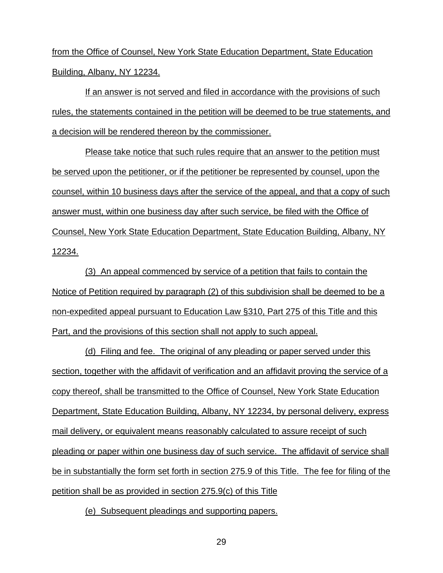from the Office of Counsel, New York State Education Department, State Education Building, Albany, NY 12234.

If an answer is not served and filed in accordance with the provisions of such rules, the statements contained in the petition will be deemed to be true statements, and a decision will be rendered thereon by the commissioner.

Please take notice that such rules require that an answer to the petition must be served upon the petitioner, or if the petitioner be represented by counsel, upon the counsel, within 10 business days after the service of the appeal, and that a copy of such answer must, within one business day after such service, be filed with the Office of Counsel, New York State Education Department, State Education Building, Albany, NY 12234.

(3) An appeal commenced by service of a petition that fails to contain the Notice of Petition required by paragraph (2) of this subdivision shall be deemed to be a non-expedited appeal pursuant to Education Law §310, Part 275 of this Title and this Part, and the provisions of this section shall not apply to such appeal.

(d) Filing and fee. The original of any pleading or paper served under this section, together with the affidavit of verification and an affidavit proving the service of a copy thereof, shall be transmitted to the Office of Counsel, New York State Education Department, State Education Building, Albany, NY 12234, by personal delivery, express mail delivery, or equivalent means reasonably calculated to assure receipt of such pleading or paper within one business day of such service. The affidavit of service shall be in substantially the form set forth in section 275.9 of this Title. The fee for filing of the petition shall be as provided in section 275.9(c) of this Title

(e) Subsequent pleadings and supporting papers.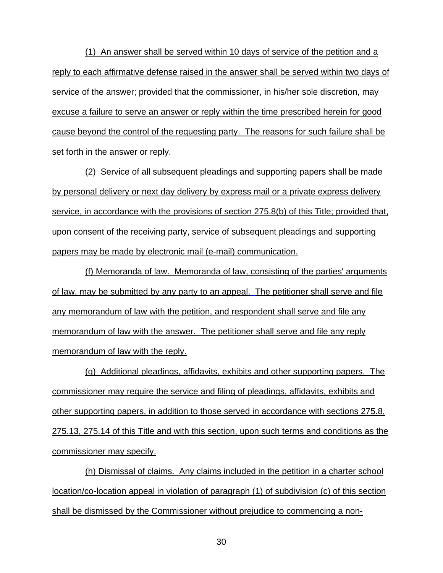(1) An answer shall be served within 10 days of service of the petition and a reply to each affirmative defense raised in the answer shall be served within two days of service of the answer; provided that the commissioner, in his/her sole discretion, may excuse a failure to serve an answer or reply within the time prescribed herein for good cause beyond the control of the requesting party. The reasons for such failure shall be set forth in the answer or reply.

(2) Service of all subsequent pleadings and supporting papers shall be made by personal delivery or next day delivery by express mail or a private express delivery service, in accordance with the provisions of section 275.8(b) of this Title; provided that, upon consent of the receiving party, service of subsequent pleadings and supporting papers may be made by electronic mail (e-mail) communication.

(f) Memoranda of law. Memoranda of law, consisting of the parties' arguments of law, may be submitted by any party to an appeal. The petitioner shall serve and file any memorandum of law with the petition, and respondent shall serve and file any memorandum of law with the answer. The petitioner shall serve and file any reply memorandum of law with the reply.

(g) Additional pleadings, affidavits, exhibits and other supporting papers. The commissioner may require the service and filing of pleadings, affidavits, exhibits and other supporting papers, in addition to those served in accordance with sections 275.8, 275.13, 275.14 of this Title and with this section, upon such terms and conditions as the commissioner may specify.

(h) Dismissal of claims. Any claims included in the petition in a charter school location/co-location appeal in violation of paragraph (1) of subdivision (c) of this section shall be dismissed by the Commissioner without prejudice to commencing a non